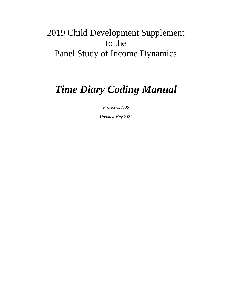# 2019 Child Development Supplement to the Panel Study of Income Dynamics

# *Time Diary Coding Manual*

*Project 058506*

*Updated May 2021*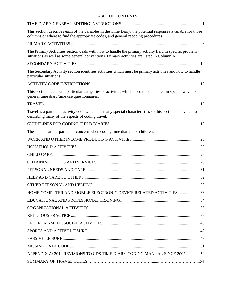# TABLE OF CONTENTS

| This section describes each of the variables in the Time Diary, the potential responses available for those<br>columns or where to find the appropriate codes, and general recoding procedures.      |  |
|------------------------------------------------------------------------------------------------------------------------------------------------------------------------------------------------------|--|
|                                                                                                                                                                                                      |  |
| The Primary Activities section deals with how to handle the primary activity field in specific problem<br>situations as well as some general conventions. Primary activities are listed in Column A. |  |
|                                                                                                                                                                                                      |  |
| The Secondary Activity section identifies activities which must be primary activities and how to handle<br>particular situations.                                                                    |  |
|                                                                                                                                                                                                      |  |
| This section deals with particular categories of activities which need to be handled in special ways for<br>general time diary/time use questionnaires.                                              |  |
|                                                                                                                                                                                                      |  |
| Travel is a particular activity code which has many special characteristics so this section is devoted to<br>describing many of the aspects of coding travel.                                        |  |
|                                                                                                                                                                                                      |  |
| These items are of particular concern when coding time diaries for children.                                                                                                                         |  |
|                                                                                                                                                                                                      |  |
|                                                                                                                                                                                                      |  |
|                                                                                                                                                                                                      |  |
|                                                                                                                                                                                                      |  |
|                                                                                                                                                                                                      |  |
|                                                                                                                                                                                                      |  |
|                                                                                                                                                                                                      |  |
| HOME COMPUTER AND MOBILE ELECTRONIC DEVICE RELATED ACTIVITIES 33                                                                                                                                     |  |
|                                                                                                                                                                                                      |  |
|                                                                                                                                                                                                      |  |
|                                                                                                                                                                                                      |  |
|                                                                                                                                                                                                      |  |
|                                                                                                                                                                                                      |  |
|                                                                                                                                                                                                      |  |
|                                                                                                                                                                                                      |  |
| APPENDIX A: 2014 REVISIONS TO CDS TIME DIARY CODING MANUAL SINCE 2007  52                                                                                                                            |  |
|                                                                                                                                                                                                      |  |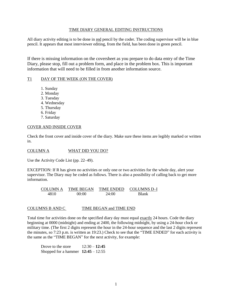## TIME DIARY GENERAL EDITING INSTRUCTIONS

<span id="page-2-0"></span>All diary activity editing is to be done in red pencil by the coder. The coding supervisor will be in blue pencil. It appears that most interviewer editing, from the field, has been done in green pencil.

If there is missing information on the coversheet as you prepare to do data entry of the Time Diary, please stop, fill out a problem form, and place in the problem box. This is important information that will need to be filled in from another information source.

# T1 DAY OF THE WEEK (ON THE COVER)

- 1. Sunday
- 2. Monday
- 3. Tuesday
- 4. Wednesday
- 5. Thursday
- 6. Friday
- 7. Saturday

### COVER AND INSIDE COVER

Check the front cover and inside cover of the diary. Make sure these items are legibly marked or written in.

COLUMN A WHAT DID YOU DO?

Use the Activity Code List (pp. 22–49).

EXCEPTION: If R has given no activities or only one or two activities for the whole day, alert your supervisor. The Diary may be coded as follows. There is also a possibility of calling back to get more information.

 $\frac{\text{COLUMN A}}{4810}$  TIME BEGAN TIME ENDED COLUMNS D-I<br>4810 00:00 24:00 Blank 4810 00:00 24:00 Blank

# COLUMNS B AND C TIME BEGAN and TIME END

Total time for activities done on the specified diary day must equal exactly 24 hours. Code the diary beginning at 0000 (midnight) and ending at 2400, the following midnight, by using a 24-hour clock or military time. (The first 2 digits represent the hour in the 24-hour sequence and the last 2 digits represent the minutes, so 7:23 p.m. is written as 19:23.) Check to see that the "TIME ENDED" for each activity is the same as the "TIME BEGAN" for the next activity, for example:

Drove to the store  $12:30 - 12:45$ Shopped for a hammer **12:45** – 12:55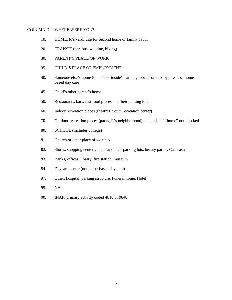### COLUMN D WHERE WERE YOU?

- 10. HOME, R's yard. Use for Second home or family cabin
- 20. TRANSIT (car, bus, walking, biking)
- 30. PARENT'S PLACE OF WORK
- 35. CHILD'S PLACE OF EMPLOYMENT
- 40. Someone else's home (outside or inside); "at neighbor's" or at babysitter's or homebased day care
- 45. Child's other parent's home
- 50. Restaurants, bars, fast-food places and their parking lots
- 60. Indoor recreation places (theatres, youth recreation center)
- 70. Outdoor recreation places (parks, R's neighborhood); "outside" if "home" not checked
- 80. SCHOOL (includes college)
- 81. Church or other place of worship
- 82. Stores, shopping centers, malls and their parking lots, beauty parlor, Car wash
- 83. Banks, offices, library, fire station, museum
- 84. Daycare center (not home-based day care)
- 97. Other, hospital, parking structure, Funeral home, Hotel
- 99. NA
- 00. INAP, primary activity coded 4810 or 9840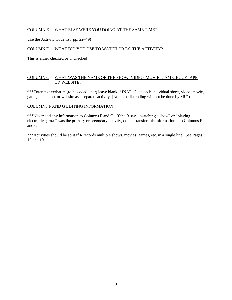# COLUMN E WHAT ELSE WERE YOU DOING AT THE SAME TIME?

Use the Activity Code list (pp. 22–49)

# COLUMN F WHAT DID YOU USE TO WATCH OR DO THE ACTIVITY?

This is either checked or unchecked

# COLUMN G WHAT WAS THE NAME OF THE SHOW, VIDEO, MOVIE, GAME, BOOK, APP, OR WEBSITE?

\*\*\*Enter text verbatim (to be coded later) leave blank if INAP. Code each individual show, video, movie, game, book, app, or website as a separate activity. (Note: media coding will not be done by SRO).

### COLUMNS F AND G EDITING INFORMATION

\*\*\*Never add any information to Columns F and G. If the R says "watching a show" or "playing electronic games" was the primary or secondary activity, do not transfer this information into Columns F and G.

\*\*\*Activities should be split if R records multiple shows, movies, games, etc. in a single line. See Pages 12 and 19.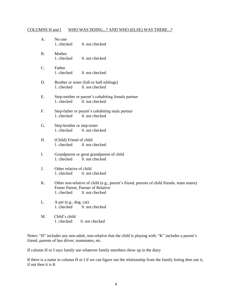# COLUMNS H and I WHO WAS DOING...? AND WHO (ELSE) WAS THERE...?

| A. | No one<br>1. checked                      | 0. not checked                                                                                                                                    |
|----|-------------------------------------------|---------------------------------------------------------------------------------------------------------------------------------------------------|
| Β. | Mother<br>1. checked                      | 0. not checked                                                                                                                                    |
| C. | Father<br>1. checked                      | 0. not checked                                                                                                                                    |
| D. | 1. checked                                | Brother or sister (full-or half-siblings)<br>0. not checked                                                                                       |
| Ε. | 1. checked                                | Step-mother or parent's cohabiting female partner<br>0. not checked                                                                               |
| F. | 1. checked                                | Step-father or parent's cohabiting male partner<br>0. not checked                                                                                 |
| G. | Step-brother or step-sister<br>1. checked | 0. not checked                                                                                                                                    |
| H. | (Child) Friend of child<br>1. checked     | 0. not checked                                                                                                                                    |
| I. | 1. checked                                | Grandparent or great grandparent of child<br>0. not checked                                                                                       |
| J. | Other relative of child<br>1. checked     | 0. not checked                                                                                                                                    |
| Κ. | 1. checked                                | Other non-relative of child (e.g., parent's friend, parents of child friends, team mates)<br>Foster Parent, Partner of Relative<br>0. not checked |
| L. | A pet (e.g., dog, cat)<br>1. checked      | 0. not checked                                                                                                                                    |
| M. | Child's child<br>1. checked               | 0. not checked                                                                                                                                    |

Notes: "H" includes any non-adult, non-relative that the child is playing with. "K" includes a parent's friend, parents of bus driver, teammates, etc.

If column H or I says family use whatever family members show up in the diary

If there is a name in column H or I if we can figure out the relationship from the family listing then use it, if not then it is K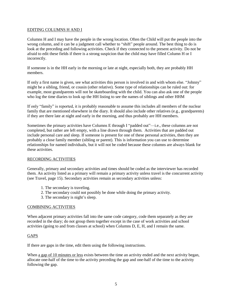# EDITING COLUMNS H AND I

Columns H and I may have the people in the wrong location. Often the Child will put the people into the wrong column, and it can be a judgment call whether to "shift" people around. The best thing to do is look at the preceding and following activities. Check if they connected to the present activity. Do not be afraid to edit these fields if there is a strong suspicion that the child may have filled Column H or I incorrectly.

If someone is in the HH early in the morning or late at night, especially both, they are probably HH members.

If only a first name is given, see what activities this person is involved in and with whom else. "Johnny" might be a sibling, friend, or cousin (other relative). Some type of relationships can be ruled out: for example, most grandparents will not be skateboarding with the child. You can also ask one of the people who log the time diaries to look up the HH listing to see the names of siblings and other HHM

If only "family" is reported, it is probably reasonable to assume this includes all members of the nuclear family that are mentioned elsewhere in the diary. It should also include other relatives (e.g., grandparents) if they are there late at night and early in the morning, and thus probably are HH members.

Sometimes the primary activities have Columns E through I "padded out"—i.e., these columns are not completed, but rather are left empty, with a line drawn through them. Activities that are padded out include personal care and sleep. If someone is present for one of these personal activities, then they are probably a close family member (sibling or parent). This is information you can use to determine relationships for named individuals, but it will not be coded because these columns are always blank for these activities.

# RECORDING ACTIVITIES

Generally, primary and secondary activities and times should be coded as the interviewer has recorded them. An activity listed as a primary will remain a primary activity unless travel is the concurrent activity (see Travel, page 15). Secondary activities remain as secondary activities unless:

- 1. The secondary is traveling.
- 2. The secondary could not possibly be done while doing the primary activity.
- 3. The secondary is night's sleep.

# COMBINING ACTIVITIES

When adjacent primary activities fall into the same code category, code them separately as they are recorded in the diary; do not group them together except in the case of work activities and school activities (going to and from classes at school) when Columns D, E, H, and I remain the same.

# GAPS

If there are gaps in the time, edit them using the following instructions.

When a gap of 10 minutes or less exists between the time an activity ended and the next activity began, allocate one-half of the time to the activity preceding the gap and one-half of the time to the activity following the gap.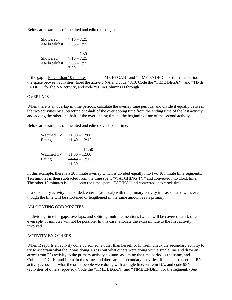Below are examples of unedited and edited time gaps:

| Showered      | $7:10 - 7:25$ |
|---------------|---------------|
| Ate breakfast | $7:35 - 7:55$ |
|               |               |
|               | 7:30          |
| Showered      | $7:10 - 7:25$ |
| Ate breakfast | $7:35 - 7:55$ |
|               | 7.30          |

If the gap is longer than 10 minutes, edit a "TIME BEGAN" and "TIME ENDED" for this time period in the space between activities, label the activity NA and code 4810. Code the "TIME BEGAN" and "TIME ENDED" for the NA activity, and code "O" in Columns D through I.

### OVERLAPS

When there is an overlap in time periods, calculate the overlap time periods, and divide it equally between the two activities by subtracting one-half of the overlapping time from the ending time of the last activity and adding the other one-half of the overlapping time to the beginning time of the second activity.

Below are examples of unedited and edited overlaps in time:

| Watched TV | $11:00 - 12:00$ |
|------------|-----------------|
| Eating     | $11:40 - 12:15$ |
|            |                 |
|            | 11:50           |
| Watched TV | $11:00 - 12:00$ |
| Eating     | $11:40 - 12:15$ |
|            | 11:50           |

In this example, there is a 20 minute overlap which is divided equally into two 10 minute time segments. Ten minutes is then subtracted from the time spent "WATCHING TV" and converted into clock time. The other 10 minutes is added onto the time spent "EATING" and converted into clock time.

If a secondary activity is recorded, enter it (as usual) with the primary activity it is associated with, even though the time will be shortened or lengthened in the same amount as its primary.

#### ALLOCATING ODD MINUTES

In dividing time for gaps, overlaps, and splitting multiple mentions (which will be covered later), often an even split of minutes will not be possible. In this case, allocate the extra minute to the first activity involved.

#### ACTIVITY BY OTHERS

When R reports an activity done by someone other than herself or himself, check the secondary activity to try to ascertain what the R was doing. Cross out what others were doing with a single line and draw an arrow from R's activity to the primary activity column, assuming the time period is the same, and Columns F, G, H, and I remain the same, and there are no secondary activities. If unable to ascertain R's activity, cross out what the other people were doing with a single line, write in NA, and code 9840 (activities of others reported). Code the "TIME BEGAN" and "TIME ENDED" for the segment. (See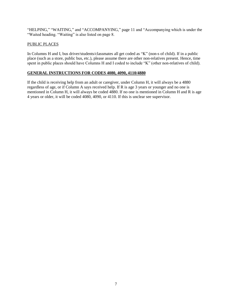"HELPING," "WAITING," and "ACCOMPANYING," page 11 and "Accompanying which is under the "Waited heading. "Waiting" is also listed on page 8.

# PUBLIC PLACES

In Columns H and I, bus driver/students/classmates all get coded as "K" (non-s of child). If in a public place (such as a store, public bus, etc.), please assume there are other non-relatives present. Hence, time spent in public places should have Columns H and I coded to include "K" (other non-relatives of child).

# **GENERAL INSTRUCTIONS FOR CODES 4080, 4090, 4110/4880**

If the child is receiving help from an adult or caregiver, under Column H, it will always be a 4880 regardless of age, or if Column A says received help. If R is age 3 years or younger and no one is mentioned in Column H, it will always be coded 4880. If no one is mentioned in Column H and R is age 4 years or older, it will be coded 4080, 4090, or 4110. If this is unclear see supervisor.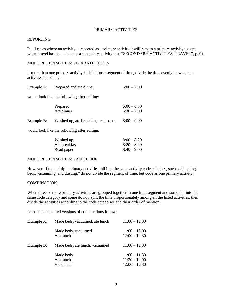## PRIMARY ACTIVITIES

#### <span id="page-9-0"></span>REPORTING

In all cases where an activity is reported as a primary activity it will remain a primary activity except where travel has been listed as a secondary activity (see "SECONDARY ACTIVITIES: TRAVEL", p. 9).

#### MULTIPLE PRIMARIES: SEPARATE CODES

If more than one primary activity is listed for a segment of time, divide the time evenly between the activities listed, e.g.:

| Example A:                                   | Prepared and ate dinner                      | $6:00 - 7:00$                  |
|----------------------------------------------|----------------------------------------------|--------------------------------|
|                                              | would look like the following after editing: |                                |
|                                              | Prepared<br>Ate dinner                       | $6:00 - 6:30$<br>$6:30 - 7:00$ |
| Example B:                                   | Washed up, ate breakfast, read paper         | $8:00 - 9:00$                  |
| would look like the following after editing: |                                              |                                |

| Washed up     | $8:00 - 8:20$ |
|---------------|---------------|
| Ate breakfast | $8:20 - 8:40$ |
| Read paper    | $8:40-9:00$   |

# MULTIPLE PRIMARIES: SAME CODE

However, if the multiple primary activities fall into the same activity code category, such as "making beds, vacuuming, and dusting," do not divide the segment of time, but code as one primary activity.

#### **COMBINATION**

When three or more primary activities are grouped together in one time segment and some fall into the same code category and some do not, split the time proportionately among all the listed activities, then divide the activities according to the code categories and their order of mention.

Unedited and edited versions of combinations follow:

| Example A: | Made beds, vacuumed, ate lunch     | $11:00 - 12:30$                                       |
|------------|------------------------------------|-------------------------------------------------------|
|            | Made beds, vacuumed<br>Ate lunch   | $11:00 - 12:00$<br>$12:00 - 12:30$                    |
| Example B: | Made beds, ate lunch, vacuumed     | $11:00 - 12:30$                                       |
|            | Made beds<br>Ate lunch<br>Vacuumed | $11:00 - 11:30$<br>$11:30 - 12:00$<br>$12:00 - 12:30$ |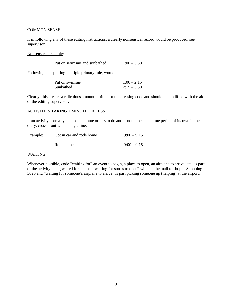## **COMMON SENSE**

If in following any of these editing instructions, a clearly nonsensical record would be produced, see supervisor.

Nonsensical example:

| Put on swimsuit and sunbathed | $1:00 - 3:30$ |
|-------------------------------|---------------|
|                               |               |

Following the splitting multiple primary rule, would be:

| Put on swimsuit | $1:00 - 2:15$ |
|-----------------|---------------|
| Sunbathed       | $2:15 - 3:30$ |

Clearly, this creates a ridiculous amount of time for the dressing code and should be modified with the aid of the editing supervisor.

#### ACTIVITIES TAKING 1 MINUTE OR LESS

If an activity normally takes one minute or less to do and is not allocated a time period of its own in the diary, cross it out with a single line.

| Example: | Got in car and rode home | $9:00 - 9:15$ |
|----------|--------------------------|---------------|
|          | Rode home                | $9:00 - 9:15$ |

## WAITING

Whenever possible, code "waiting for" an event to begin, a place to open, an airplane to arrive, etc. as part of the activity being waited for, so that "waiting for stores to open" while at the mall to shop is Shopping 3020 and "waiting for someone's airplane to arrive" is part picking someone up (helping) at the airport.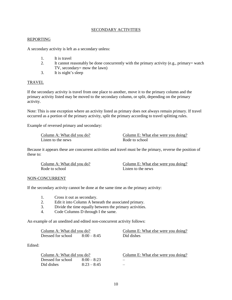# SECONDARY ACTIVITIES

### <span id="page-11-0"></span>REPORTING

A secondary activity is left as a secondary unless:

- 1. It is travel
- 2. It cannot reasonably be done concurrently with the primary activity (e.g., primary= watch TV, secondary= mow the lawn)
- 3. It is night's sleep

#### TRAVEL

If the secondary activity is travel from one place to another, move it to the primary column and the primary activity listed may be moved to the secondary column, or split, depending on the primary activity.

Note: This is one exception where an activity listed as primary does not always remain primary. If travel occurred as a portion of the primary activity, split the primary according to travel splitting rules.

Example of reversed primary and secondary:

Listen to the news

Column A: What did you do?<br>
Listen to the news <br>
Column E: What else were you doing?<br>
Rode to school

Because it appears these are concurrent activities and travel must be the primary, reverse the position of these to:

Rode to school and Listen to the news

Column A: What did you do? Column E: What else were you doing?

# NON-CONCURRENT

If the secondary activity cannot be done at the same time as the primary activity:

- 1. Cross it out as secondary.
- 2. Edit it into Column A beneath the associated primary.
- 3. Divide the time equally between the primary activities.
- 4. Code Columns D through I the same.

An example of an unedited and edited non-concurrent activity follows:

| Column A: What did you do? |               | Column E: What else were you doing? |  |
|----------------------------|---------------|-------------------------------------|--|
| Dressed for school         | $8:00 - 8:45$ | Did dishes                          |  |

Edited:

| Column A: What did you do? |               | Column E: What else were you doing? |
|----------------------------|---------------|-------------------------------------|
| Dressed for school         | $8:00 - 8:23$ |                                     |
| Did dishes                 | $8.23 - 8.45$ | -                                   |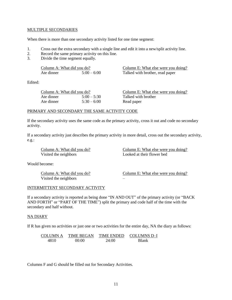## MULTIPLE SECONDARIES

When there is more than one secondary activity listed for one time segment:

- 1. Cross out the extra secondary with a single line and edit it into a new/split activity line.
- 2. Record the same primary activity on this line.
- 3. Divide the time segment equally.

| Column A: What did you do? |             | Column E: What else were you doing? |
|----------------------------|-------------|-------------------------------------|
| Ate dinner                 | $5:00-6:00$ | Talked with brother, read paper     |

Edited:

| Column A: What did you do? |               | Column E: What else were you doing? |  |
|----------------------------|---------------|-------------------------------------|--|
| Ate dinner                 | $5:00 - 5:30$ | Talked with brother                 |  |
| Ate dinner                 | $5:30-6:00$   | Read paper                          |  |

### PRIMARY AND SECONDARY THE SAME ACTIVITY CODE

If the secondary activity uses the same code as the primary activity, cross it out and code no secondary activity.

If a secondary activity just describes the primary activity in more detail, cross out the secondary activity, e.g.:

Visited the neighbors Looked at their flower bed

Column A: What did you do? Column E: What else were you doing?

Would become:

Visited the neighbors –

Column A: What did you do? Column E: What else were you doing?

## INTERMITTENT SECONDARY ACTIVITY

If a secondary activity is reported as being done "IN AND OUT" of the primary activity (or "BACK AND FORTH" or "PART OF THE TIME") split the primary and code half of the time with the secondary and half without.

#### NA DIARY

If R has given no activities or just one or two activities for the entire day, NA the diary as follows:

COLUMN A TIME BEGAN TIME ENDED COLUMNS D–I 4810 00:00 24:00 Blank

Columns F and G should be filled out for Secondary Activities.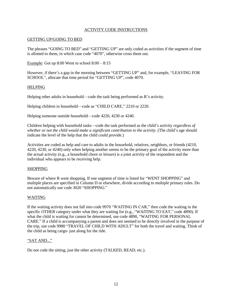# ACTIVITY CODE INSTRUCTIONS

# <span id="page-13-0"></span>GETTING UP/GOING TO BED

The phrases "GOING TO BED" and "GETTING UP" are only coded as activities if the segment of time is allotted to them, in which case code "4070", otherwise cross them out.

Example: Got up  $8:00$  Went to school  $8:00 - 8:15$ 

However, if there's a gap in the morning between "GETTING UP" and, for example, "LEAVING FOR SCHOOL", allocate that time period for "GETTING UP", code 4070.

### HELPING

Helping other adults in household—code the task being performed as R's activity.

Helping children in household—code as "CHILD CARE," 2210 or 2220.

Helping someone outside household—code 4220, 4230 or 4240.

Children helping with household tasks—code the task performed as the child's activity *regardless of whether or not the child would make a significant contribution to the activity.* (The child's age should indicate the level of the help that the child could provide.)

Activities are coded as help and care to adults in the household, relatives, neighbors, or friends (4210, 4220, 4230, or 4240) only when helping another seems to be the primary goal of the activity more than the actual activity (e.g., a household chore or leisure) is a joint activity of the respondent and the individual who appears to be receiving help.

#### **SHOPPING**

Beware of where R went shopping. If one segment of time is listed for "WENT SHOPPING" and multiple places are specified in Column D or elsewhere, divide according to multiple primary rules. Do not automatically use code 3020 "SHOPPING."

# WAITING

If the waiting activity does not fall into code 9970 "WAITING IN CAR," then code the waiting in the specific OTHER category under what they are waiting for (e.g., "WAITING TO EAT," code 4890). If what the child is waiting for cannot be determined, use code 4890, "WAITING FOR PERSONAL CARE." If a child is accompanying a parent and does not seemed to be directly involved in the purpose of the trip, use code 9980 "TRAVEL OF CHILD WITH ADULT" for both the travel and waiting. Think of the child as being cargo- just along for the ride.

#### "SAT AND..."

Do not code the sitting, just the other activity (TALKED, READ, etc.).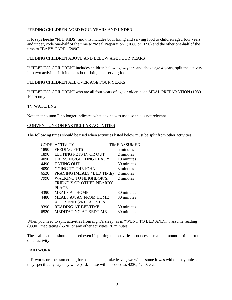# FEEDING CHILDREN AGED FOUR YEARS AND UNDER

If R says he/she "FED KIDS" and this includes both fixing and serving food to children aged four years and under, code one-half of the time to "Meal Preparation" (1080 or 1090) and the other one-half of the time to "BABY CARE" (2090).

# FEEDING CHILDREN ABOVE AND BELOW AGE FOUR YEARS

If "FEEDING CHILDREN" includes children below age 4 years and above age 4 years, split the activity into two activities if it includes both fixing and serving food.

# FEEDING CHILDREN ALL OVER AGE FOUR YEARS

If "FEEDING CHILDREN" who are all four years of age or older, code MEAL PREPARATION (1080– 1090) only.

# TV WATCHING

Note that column F no longer indicates what device was used so this is not relevant

### CONVENTIONS ON PARTICULAR ACTIVITIES

The following times should be used when activities listed below must be split from other activities:

| <b>CODE</b> | <b>ACTIVITY</b>                 | <b>TIME ASSUMED</b> |
|-------------|---------------------------------|---------------------|
| 1890        | <b>FEEDING PETS</b>             | 5 minutes           |
| 1890        | LETTING PETS IN OR OUT          | 2 minutes           |
| 4090        | DRESSING/GETTING READY          | 10 minutes          |
| 4490        | <b>EATING OUT</b>               | 30 minutes          |
| 4090        | <b>GOING TO THE JOHN</b>        | 3 minutes           |
| 6520        | PRAYING (MEALS / BED TIME)      | 2 minutes           |
| 7990        | <b>WALKING TO NEIGHBOR'S,</b>   | 2 minutes           |
|             | <b>FRIEND'S OR OTHER NEARBY</b> |                     |
|             | <b>PLACE</b>                    |                     |
| 4390        | <b>MEALS AT HOME</b>            | 30 minutes          |
| 4480        | <b>MEALS AWAY FROM HOME</b>     | 30 minutes          |
|             | AT FRIEND'S/RELATIVE'S          |                     |
| 9390        | <b>READING AT BEDTIME</b>       | 30 minutes          |
| 6520        | <b>MEDITATING AT BEDTIME</b>    | 30 minutes          |
|             |                                 |                     |

When you need to split activities from night's sleep, as in "WENT TO BED AND...", assume reading (9390), meditating (6520) or any other activities 30 minutes.

These allocations should be used even if splitting the activities produces a smaller amount of time for the other activity.

#### PAID WORK

If R works or does something for someone, e.g. rake leaves, we will assume it was without pay unless they specifically say they were paid. These will be coded as 4230, 4240, etc.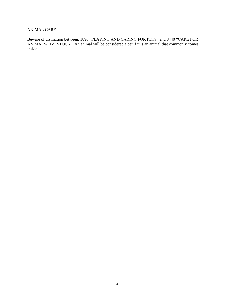# ANIMAL CARE

Beware of distinction between, 1890 "PLAYING AND CARING FOR PETS" and 8440 "CARE FOR ANIMALS/LIVESTOCK." An animal will be considered a pet if it is an animal that commonly comes inside.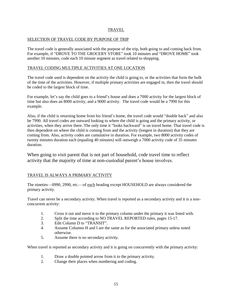# TRAVEL

# <span id="page-16-0"></span>SELECTION OF TRAVEL CODE BY PURPOSE OF TRIP

The travel code is generally associated with the purpose of the trip, both going to and coming back from. For example, if "DROVE TO THE GROCERY STORE" took 10 minutes and "DROVE HOME" took another 10 minutes, code each 10 minute segment as travel related to shopping.

# TRAVEL CODING MULTIPLE ACTIVITIES AT ONE LOCATION

The travel code used is dependent on the activity the child is going to, or the activities that form the bulk of the time of the activities. However, if multiple primary activities are engaged in, then the travel should be coded to the largest block of time.

For example, let's say the child goes to a friend's house and does a 7000 activity for the largest block of time but also does an 8000 activity, and a 9000 activity. The travel code would be a 7990 for this example.

Also, if the child is returning home from his friend's home, the travel code would "double back" and also be 7990. All travel codes are outward looking to where the child is going and the primary activity, or activities, when they arrive there. The only time it "looks backward" is on travel home. That travel code is then dependent on where the child is coming from and the activity (longest in duration) that they are coming from. Also, activity codes are cumulative in duration. For example, two 8000 activity codes of twenty minutes duration each (equaling 40 minutes) will outweigh a 7000 activity code of 35 minutes duration.

When going to visit parent that is not part of household, code travel time to reflect activity that the majority of time at non-custodial parent's house involves.

# TRAVEL IS ALWAYS A PRIMARY ACTIVITY

The nineties—0990, 2990, etc.—of each heading except HOUSEHOLD are always considered the primary activity.

Travel can never be a secondary activity. When travel is reported as a secondary activity and it is a nonconcurrent activity:

- 1. Cross it out and move it to the primary column under the primary it was listed with.
- 2. Split the time according to NO TRAVEL REPORTED rules, pages 15-17.
- 3. Edit Column D to "TRANSIT".
- 4. Assume Columns H and I are the same as for the associated primary unless noted otherwise.
- 5. Assume there is no secondary activity.

When travel is reported as secondary activity and it is going on concurrently with the primary activity:

- 1. Draw a double pointed arrow from it to the primary activity.
- 2. Change their places when numbering and coding.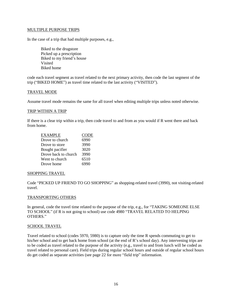## MULTIPLE PURPOSE TRIPS

In the case of a trip that had multiple purposes, e.g.,

Biked to the drugstore Picked up a prescription Biked to my friend's house Visited Biked home

code each travel segment as travel related to the next primary activity, then code the last segment of the trip ("BIKED HOME") as travel time related to the last activity ("VISITED").

#### TRAVEL MODE

Assume travel mode remains the same for all travel when editing multiple trips unless noted otherwise.

#### TRIP WITHIN A TRIP

If there is a clear trip within a trip, then code travel to and from as you would if R went there and back from home.

| <b>EXAMPLE</b>       | <b>CODE</b> |
|----------------------|-------------|
| Drove to church      | 6990        |
| Drove to store       | 3990        |
| Bought pacifier      | 3020        |
| Drove back to church | 3990        |
| Went to church       | 6510        |
| Drove home           | 6990        |

#### SHOPPING TRAVEL

Code "PICKED UP FRIEND TO GO SHOPPING" as shopping-related travel (3990), not visiting-related travel.

#### TRANSPORTING OTHERS

In general, code the travel time related to the purpose of the trip, e.g., for "TAKING SOMEONE ELSE TO SCHOOL" (if R is not going to school) use code 4980 "TRAVEL RELATED TO HELPING OTHERS."

#### SCHOOL TRAVEL

Travel related to school (codes 5970, 5980) is to capture only the time R spends commuting to get to his/her school and to get back home from school (at the end of R's school day). Any intervening trips are to be coded as travel related to the purpose of the activity (e.g., travel to and from lunch will be coded as travel related to personal care). Field trips during regular school hours and outside of regular school hours do get coded as separate activities (see page 22 for more "field trip" information.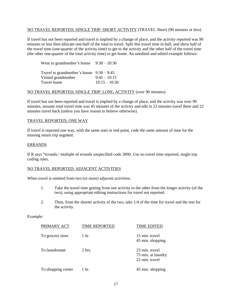## NO TRAVEL REPORTED, SINGLE TRIP: SHORT ACTIVITY (TRAVEL Short) (90 minutes or less)

If travel has not been reported and travel is implied by a change of place, and the activity reported was 90 minutes or less then allocate one-half of the total to travel. Split this travel time in half, and show half of the travel time (one-quarter of the activity time) to get to the activity and the other half of the travel time (the other one-quarter of the total activity time) to get home. An unedited and edited example follows:

| Went to grandmother's house                                        | $9:30-10:30$    |
|--------------------------------------------------------------------|-----------------|
| Travel to grandmother's house $9:30 - 9:45$<br>Visited grandmother | $9:45 - 10:15$  |
| Travel home                                                        | $10:15 - 10:30$ |

### NO TRAVEL REPORTED, SINGLE TRIP: LONG ACTIVITY (over 90 minutes)

If travel has not been reported and travel is implied by a change of place, and the activity was over 90 minutes, assume total travel time was 45 minutes of the activity and edit in 23 minutes travel there and 22 minutes travel back (unless you have reason to believe otherwise).

### TRAVEL REPORTED; ONE WAY

If travel is reported one way, with the same start or end point, code the same amount of time for the missing return trip segment.

### ERRANDS

If R says **"**errands,**"** multiple of errands unspecified code 3890. Use no travel time reported, single trip coding rules.

# NO TRAVEL REPORTED: ADJACENT ACTIVITIES

When travel is omitted from two (or more) adjacent activities:

- 1. Take the travel time getting from one activity to the other from the longer activity (of the two), using appropriate editing instructions for travel not reported.
- 2. Then, from the shorter activity of the two, take 1/4 of the time for travel and the rest for the activity.

#### Example:

| PRIMARY ACT        | <b>TIME REPORTED</b> | <b>TIME EDITED</b>                                     |
|--------------------|----------------------|--------------------------------------------------------|
| To grocery store   | 1 hr.                | 15 min. travel<br>45 min. shopping                     |
| To laundromat      | $2$ hrs.             | 23 min. travel<br>75 min. at laundry<br>22 min. travel |
| To shopping center | 1 hr.                | 45 min. shopping                                       |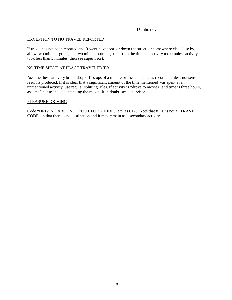15 min. travel

# EXCEPTION TO NO TRAVEL REPORTED

If travel has not been reported and R went next door, or down the street, or somewhere else close by, allow two minutes going and two minutes coming back from the time the activity took (unless activity took less than 5 minutes, then see supervisor).

# NO TIME SPENT AT PLACE TRAVELED TO

Assume these are very brief "drop off" stops of a minute or less and code as recorded unless nonsense result is produced. If it is clear that a significant amount of the time mentioned was spent at an unmentioned activity, use regular splitting rules. If activity is "drove to movies" and time is three hours, assume/split to include attending the movie. If in doubt, see supervisor.

# PLEASURE DRIVING

Code "DRIVING AROUND," "OUT FOR A RIDE," etc. as 8170. Note that 8170 is not a "TRAVEL CODE" in that there is no destination and it may remain as a secondary activity.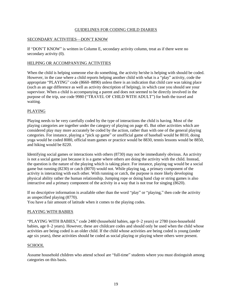# GUIDELINES FOR CODING CHILD DIARIES

# <span id="page-20-0"></span>SECONDARY ACTIVITIES—DON'T KNOW

If "DON'T KNOW" is written in Column E, secondary activity column, treat as if there were no secondary activity (0).

# HELPING OR ACCOMPANYING ACTIVITIES

When the child is helping someone else do something, the activity he/she is helping with should be coded. However, in the case where a child reports helping another child with what is a "play" activity, code the appropriate "PLAYING" code (8660–8890) unless there is an indication that child care was taking place (such as an age difference as well as activity description of helping), in which case you should see your supervisor. When a child is accompanying a parent and does not seemed to be directly involved in the purpose of the trip, use code 9980 ("TRAVEL OF CHILD WITH ADULT") for both the travel and waiting.

# PLAYING

Playing needs to be very carefully coded by the type of interactions the child is having. Most of the playing categories are together under the category of playing on page 45. But other activities which are considered play may more accurately be coded by the action, rather than with one of the general playing categories. For instance, playing a "pick up game" or unofficial game of baseball would be 8010, doing yoga would be coded 8080, official team games or practice would be 8830, tennis lessons would be 8850, and hiking would be 8220.

Identifying social games or interactions with others (8730) may not be immediately obvious. An activity is not a social game just because it is a game where others are doing the activity with the child. Instead, the question is the nature of the playing which is taking place. For instance, playing tag would be a social game but running (8230) or catch (8070) would not. While playing tag, a primary component of the activity is interacting with each other. With running or catch, the purpose is more likely developing physical ability rather the human relationship. Jumping rope or doing hand clap or string games is also interactive and a primary component of the activity in a way that is not true for singing (8620).

If no descriptive information is available other than the word "play" or "playing," then code the activity as unspecified playing (8770).

You have a fair amount of latitude when it comes to the playing codes.

# PLAYING WITH BABIES

"PLAYING WITH BABIES," code 2480 (household babies, age 0–2 years) or 2780 (non-household babies, age 0–2 years). However, these are childcare codes and should only be used when the child whose activities are being coded is an older child. If the child whose activities are being coded is young (under age six years), these activities should be coded as social playing or playing where others were present.

# **SCHOOL**

Assume household children who attend school are "full-time" students where you must distinguish among categories on this basis.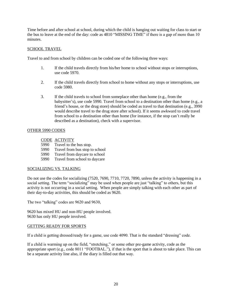Time before and after school at school, during which the child is hanging out waiting for class to start or the bus to leave at the end of the day: code as 4810 "MISSING TIME" if there is a gap of more than 10 minutes.

# SCHOOL TRAVEL

Travel to and from school by children can be coded one of the following three ways:

- 1. If the child travels directly from his/her home to school without stops or interruptions, use code 5970.
- 2. If the child travels directly from school to home without any stops or interruptions, use code 5980.
- 3. If the child travels to school from someplace other than home (e.g., from the babysitter's), use code 5990. Travel from school to a destination other than home (e.g., a friend's house, or the drug store) should be coded as travel to that destination (e.g., 3990 would describe travel to the drug store after school). If it seems awkward to code travel from school to a destination other than home (for instance, if the stop can't really be described as a destination), check with a supervisor.

# OTHER 5990 CODES

# CODE ACTIVITY

- 5990 Travel to the bus stop.
- 5990 Travel from bus stop to school
- 5990 Travel from daycare to school
- 5990 Travel from school to daycare

# SOCIALIZING VS. TALKING

Do not use the codes for socializing (7520, 7690, 7710, 7720, 7890, unless the activity is happening in a social setting. The term "socializing" may be used when people are just "talking" to others, but this activity is not occurring in a social setting. When people are simply talking with each other as part of their day-to-day activities, this should be coded as 9620.

The two "talking" codes are 9620 and 9630,

9620 has mixed HU and non-HU people involved. 9630 has only HU people involved.

# GETTING READY FOR SPORTS

If a child is getting dressed/ready for a game, use code 4090. That is the standard "dressing" code.

If a child is warming up on the field, "stretching," or some other pre-game activity, code as the appropriate sport (e.g., code 8011 "FOOTBAL."), if that is the sport that is about to take place. This can be a separate activity line also, if the diary is filled out that way.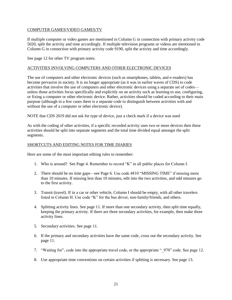# COMPUTER GAMES/VIDEO GAMES/TV

If multiple computer or video games are mentioned in Column G in connection with primary activity code 5020, split the activity and time accordingly. If multiple television programs or videos are mentioned in Column G in connection with primary activity code 9190, split the activity and time accordingly.

See page 12 for other TV program notes.

# ACTIVITIES INVOLVING COMPUTERS AND OTHER ELECTRONIC DEVICES

The use of computers and other electronic devices (such as smartphones, tablets, and e-readers) has become pervasive in society. It is no longer appropriate (as it was in earlier waves of CDS) to code activities that involve the use of computers and other electronic devices using a separate set of codes unless those activities focus specifically and explicitly on an activity such as learning to use, configuring, or fixing a computer or other electronic device. Rather, activities should be coded according to their main purpose (although in a few cases there is a separate code to distinguish between activities with and without the use of a computer or other electronic device).

NOTE that CDS 2019 did not ask for type of device, just a check mark if a device was used

As with the coding of other activities, if a specific recorded activity uses two or more devices then these activities should be split into separate segments and the total time divided equal amongst the split segments.

# SHORTCUTS AND EDITING NOTES FOR TIME DIARIES

Here are some of the most important editing rules to remember:

- 1. Who is around? See Page 4. Remember to record "K" in all public places for Column I.
- 2. There should be no time gaps—see Page 6. Use code 4810 "MISSING TIME" if missing more than 10 minutes. If missing less than 10 minutes, edit into the two activities, and odd minutes go to the first activity.
- 3. Transit (travel). If in a car or other vehicle, Column I should be empty, with all other travelers listed in Column H. Use code "K" for the bus driver, non-family/friends, and others.
- 4. Splitting activity lines. See page 11. If more than one secondary activity, then split time equally, keeping the primary activity. If there are three secondary activities, for example, then make three activity lines.
- 5. Secondary activities. See page 11.
- 6. If the primary and secondary activities have the same code, cross out the secondary activity. See page 11.
- 7. "Waiting for", code into the appropriate travel code, or the appropriate " 970" code. See page 12.
- 8. Use appropriate time conventions on certain activities if splitting is necessary. See page 13.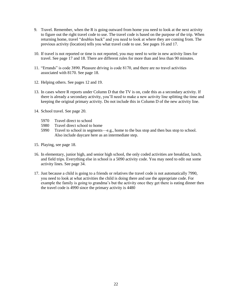- 9. Travel. Remember, when the R is going outward from home you need to look at the next activity to figure out the right travel code to use. The travel code is based on the purpose of the trip. When returning home, travel "doubles back" and you need to look at where they are coming from. The previous activity (location) tells you what travel code to use. See pages 16 and 17.
- 10. If travel is not reported or time is not reported, you may need to write in new activity lines for travel. See page 17 and 18. There are different rules for more than and less than 90 minutes.
- 11. "Errands" is code 3890. Pleasure driving is code 8170, and there are no travel activities associated with 8170. See page 18.
- 12. Helping others. See pages 12 and 19.
- 13. In cases where R reports under Column D that the TV is on, code this as a secondary activity. If there is already a secondary activity, you'll need to make a new activity line splitting the time and keeping the original primary activity. Do not include this in Column D of the new activity line.
- 14. School travel. See page 20.
	- 5970 Travel direct to school
	- 5980 Travel direct school to home
	- 5990 Travel to school in segments—e.g., home to the bus stop and then bus stop to school. Also include daycare here as an intermediate step.
- 15. Playing, see page 18.
- 16. In elementary, junior high, and senior high school, the only coded activities are breakfast, lunch, and field trips. Everything else in school is a 5090 activity code. You may need to edit out some activity lines. See page 34.
- 17. Just because a child is going to a friends or relatives the travel code is not automatically 7990, you need to look at what activities the child is doing there and use the appropriate code. For example the family is going to grandma's but the activity once they get there is eating dinner then the travel code is 4990 since the primary activity is 4480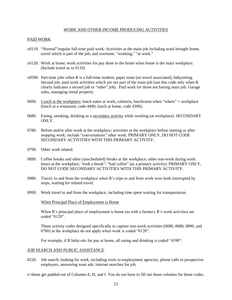#### WORK AND OTHER INCOME PRODUCING ACTIVITIES

# <span id="page-24-0"></span>PAID WORK

- x0110. "Normal"/regular full-time paid work: Activities at the main job including work brought home, travel which is part of the job, and overtime; "working," "at work."
- x0120. Work at home; work activities for pay done in the home when home is the main workplace. (Include travel as in 0110)
- x0590. Part-time jobs when R is a full-time student; paper route (no travel associated), babysitting. Second job; paid work activities which are not part of the main job (use this code only when R clearly indicates a second job or "other" job). Paid work for those not having main job. Garage sales, managing rental property.
- 0690. Lunch at the workplace; lunch eaten at work, cafeteria, lunchroom when "where" = workplace (lunch at a restaurant, code 4490; lunch at home, code 4390).
- 0680. Eating, smoking, drinking as a secondary activity while working (at workplace). SECONDARY ONLY.
- 0780. Before and/or after work at the workplace; activities at the workplace before starting or after stopping work; include "conversations" other work. PRIMARY ONLY, DO NOT CODE SECONDARY ACTIVITIES WITH THIS PRIMARY ACTIVITY.
- 0790. Other work related.
- 0890. Coffee breaks and other (unscheduled) breaks at the workplace; other non-work during work hours at the workplace; "took a break"; "had coffee" (as a primary activity). PRIMARY ONLY, DO NOT CODE SECONDARY ACTIVITIES WITH THIS PRIMARY ACTIVITY.
- 0980. Travel; to and from the workplace when  $R$ 's trips to and from work were both interrupted by stops, waiting for related travel.
- 0990. Work travel to and from the workplace, including time spent waiting for transportation.

When Principal Place of Employment is Home

When R's principal place of employment is home (as with a farmer), R's work activities are coded "0120".

Those activity codes designed specifically to capture non-work activities (0690, 0680, 0890, and 0780) at the workplace do not apply when work is coded "0120".

For example, if R baby-sits for pay at home, all eating and drinking is coded "4390".

#### JOB SEARCH AND PUBLIC ASSISTANCE

0220. Job search; looking for work, including visits to employment agencies, phone calls to prospective employers, answering want ads; internet searches for job.

x=these get padded out of Columns E, H, and I. You do not have to fill out those columns for those codes.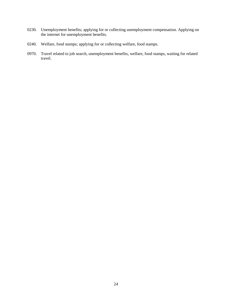- 0230. Unemployment benefits; applying for or collecting unemployment compensation. Applying on the internet for unemployment benefits.
- 0240. Welfare, food stamps; applying for or collecting welfare, food stamps.
- 0970. Travel related to job search, unemployment benefits, welfare, food stamps, waiting for related travel.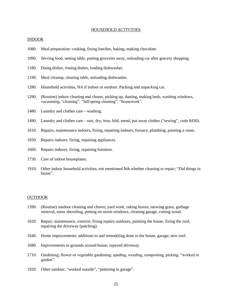#### HOUSEHOLD ACTIVITIES

#### <span id="page-26-0"></span>INDOOR

- 1080. Meal preparation: cooking, fixing lunches, baking, making chocolate.
- 1090. Serving food, setting table, putting groceries away, unloading car after grocery shopping.
- 1180. Doing dishes, rinsing dishes, loading dishwasher.
- 1190. Meal cleanup, clearing table, unloading dishwasher.
- 1280. Household activities, NA if indoor or outdoor. Packing and unpacking car.
- 1290. (Routine) indoor cleaning and chores, picking up, dusting, making beds, washing windows, vacuuming, "cleaning", "fall/spring cleaning", "housework".
- 1480. Laundry and clothes care—washing.
- 1490. Laundry and clothes care—sort, dry, iron, fold, mend, put away clothes ("sewing", code 8430).
- 1610. Repairs, maintenance indoors, fixing, repairing indoors, furnace, plumbing, painting a room.
- 1650. Repairs indoors: fixing, repairing appliances.
- 1660. Repairs indoors: fixing, repairing furniture.
- 1730. Care of indoor houseplants.
- 1910. Other indoor household activities, not mentioned NA whether cleaning or repair; "Did things in house".

#### OUTDOOR

- 1390. (Routine) outdoor cleaning and chores; yard work, raking leaves, mowing grass, garbage removal, snow shoveling, putting on storm windows, cleaning garage, cutting wood.
- 1620. Repair, maintenance, exterior; fixing repairs outdoors, painting the house, fixing the roof, repairing the driveway (patching).
- 1640. Home improvements: additions to and remodeling done to the house, garage; new roof.
- 1680. Improvements to grounds around house; repaved driveway.
- 1710. Gardening; flower or vegetable gardening; spading, weeding, composting, picking, "worked in garden".
- 1920. Other outdoor; "worked outside", "puttering in garage".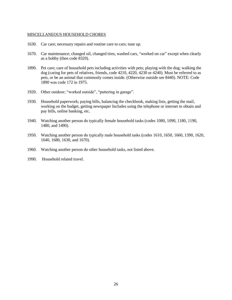## MISCELLANEOUS HOUSEHOLD CHORES

- 1630. Car care; necessary repairs and routine care to cars; tune up.
- 1670. Car maintenance; changed oil, changed tires, washed cars, "worked on car" except when clearly as a hobby (then code 8320).
- 1890. Pet care; care of household pets including activities with pets; playing with the dog; walking the dog (caring for pets of relatives, friends, code 4210, 4220, 4230 or 4240). Must be referred to as pets, or be an animal that commonly comes inside. (Otherwise outside see 8440). NOTE: Code 1890 was code 172 in 1975.
- 1920. Other outdoor; "worked outside", "puttering in garage".
- 1930. Household paperwork; paying bills, balancing the checkbook, making lists, getting the mail, working on the budget, getting newspaper Includes using the telephone or internet to obtain and pay bills, online banking, etc.
- 1940. Watching another person do typically female household tasks (codes 1080, 1090, 1180, 1190, 1480, and 1490).
- 1950. Watching another person do typically male household tasks (codes 1610, 1650, 1660, 1390, 1620, 1640, 1680, 1630, and 1670).
- 1960. Watching another person do other household tasks, not listed above.
- 1990. Household related travel.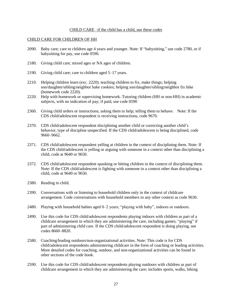## CHILD CARE –if the child has a child, use these codes

#### <span id="page-28-0"></span>CHILD CARE FOR CHILDREN OF HH

- 2090. Baby care; care to children age 4 years and younger. Note: If "babysitting," use code 2780, or if babysitting for pay, use code 0590.
- 2180. Giving child care; mixed ages or NA ages of children.
- 2190. Giving child care; care to children aged 5–17 years.
- 2210. Helping children learn (exc. 2220); teaching children to fix, make things; helping son/daughter/sibling/neighbor bake cookies; helping son/daughter/sibling/neighbor fix bike (homework code 2220).
- 2220. Help with homework or supervising homework. Tutoring children (HH or non-HH) in academic subjects, with no indication of pay; if paid, use code 0590
- 2360. Giving child orders or instructions; asking them to help; telling them to behave. Note: If the CDS child/adolescent respondent is receiving instructions, code 9670.
- 2370. CDS child/adolescent respondent disciplining another child or correcting another child's behavior, type of discipline unspecified. If the CDS child/adolescent is being disciplined, code 9660–9662.
- 2371. CDS child/adolescent respondent yelling at children in the context of disciplining them. Note: If the CDS child/adolescent is yelling or arguing with someone in a context other than disciplining a child, code at 9640 or 9650.
- 2372. CDS child/adolescent respondent spanking or hitting children in the context of disciplining them. Note: If the CDS child/adolescent is fighting with someone in a context other than disciplining a child, code at 9640 or 9650.
- 2380. Reading to child.
- 2390. Conversations with or listening to household children only in the context of childcare arrangement. Code conversations with household members in any other context as code 9630.
- 2480. Playing with household babies aged 0–2 years; "playing with baby", indoors or outdoors.
- 2490. Use this code for CDS child/adolescent respondents playing indoors with children as part of a childcare arrangement in which they are administering the care, including games; "playing" if part of administering child care. If the CDS child/adolescent respondent is doing playing, see codes 8660–8820.
- 2580. Coaching/leading outdoors/non-organizational activities. Note: This code is for CDS child/adolescent respondents administering childcare in the form of coaching or leading activities. More detailed codes for coaching, outdoor, and non-organizational activities can be found in other sections of the code book.
- 2590. Use this code for CDS child/adolescent respondents playing outdoors with children as part of childcare arrangement in which they are administering the care; includes sports, walks, biking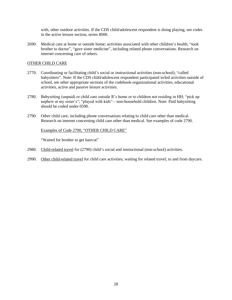with, other outdoor activities. If the CDS child/adolescent respondent is doing playing, see codes in the active leisure section, series 8000.

2690. Medical care at home or outside home; activities associated with other children's health; "took brother to doctor", "gave sister medicine", including related phone conversations. Research on internet concerning care of others.

# OTHER CHILD CARE

- 2770. Coordinating or facilitating child's social or instructional activities (non-school); "called babysitters". Note: If the CDS child/adolescent respondent participated in/led activities outside of school, see other appropriate sections of the codebook-organizational activities, educational activities, active and passive leisure activities.
- 2780. Babysitting (unpaid) or child care outside R's home or to children not residing in HH; "pick up nephew at my sister's"; "played with kids"—non-household children. Note: Paid babysitting should be coded under 0590.
- 2790. Other child care, including phone conversations relating to child care other than medical. Research on internet concerning child care other than medical. See examples of code 2790.

# Examples of Code 2790, "OTHER CHILD CARE"

"Waited for brother to get haircut"

- 2980. Child-related travel for (2790) child's social and instructional (non-school) activities.
- 2990. Other child-related travel for child care activities; waiting for related travel; to and from daycare.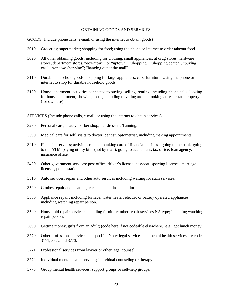#### OBTAINING GOODS AND SERVICES

<span id="page-30-0"></span>GOODS (Include phone calls, e-mail, or using the internet to obtain goods)

- 3010. Groceries; supermarket; shopping for food; using the phone or internet to order takeout food.
- 3020. All other obtaining goods; including for clothing, small appliances; at drug stores, hardware stores, department stores, "downtown" or "uptown", "shopping", "shopping center", "buying gas", "window shopping"; "hanging out at the mall".
- 3110. Durable household goods; shopping for large appliances, cars, furniture. Using the phone or internet to shop for durable household goods.
- 3120. House, apartment; activities connected to buying, selling, renting, including phone calls, looking for house, apartment; showing house, including traveling around looking at real estate property (for own use).

SERVICES (Include phone calls, e-mail, or using the internet to obtain services)

- 3290. Personal care; beauty, barber shop; hairdressers. Tanning.
- 3390. Medical care for self; visits to doctor, dentist, optometrist, including making appointments.
- 3410. Financial services; activities related to taking care of financial business; going to the bank, going to the ATM, paying utility bills (not by mail), going to accountant, tax office, loan agency, insurance office.
- 3420. Other government services: post office, driver's license, passport, sporting licenses, marriage licenses, police station.
- 3510. Auto services; repair and other auto services including waiting for such services.
- 3520. Clothes repair and cleaning: cleaners, laundromat, tailor.
- 3530. Appliance repair: including furnace, water heater, electric or battery operated appliances; including watching repair person.
- 3540. Household repair services: including furniture; other repair services NA type; including watching repair person.
- 3690. Getting money, gifts from an adult; (code here if not codeable elsewhere), e.g., got lunch money.
- 3770. Other professional services nonspecific. Note: legal services and mental health services are codes 3771, 3772 and 3773.
- 3771. Professional services from lawyer or other legal counsel.
- 3772. Individual mental health services; individual counseling or therapy.
- 3773. Group mental health services; support groups or self-help groups.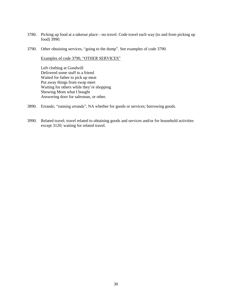- 3780. Picking up food at a takeout place—no travel. Code travel each way (to and from picking up food) 3990.
- 3790. Other obtaining services, "going to the dump". See examples of code 3790.

Examples of code 3790, "OTHER SERVICES"

Left clothing at Goodwill Delivered some stuff to a friend Waited for father to pick up meat Put away things from swap meet Waiting for others while they're shopping Showing Mom what I bought Answering door for salesman, or other.

- 3890. Errands; "running errands", NA whether for goods or services; borrowing goods.
- 3990. Related travel; travel related to obtaining goods and services and/or for household activities except 3120; waiting for related travel.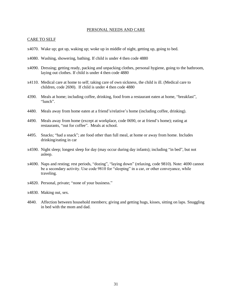#### PERSONAL NEEDS AND CARE

#### <span id="page-32-0"></span>CARE TO SELF

- x4070. Wake up; got up, waking up; woke up in middle of night, getting up, going to bed.
- x4080. Washing, showering, bathing. If child is under 4 then code 4880
- x4090. Dressing; getting ready, packing and unpacking clothes, personal hygiene, going to the bathroom, laying out clothes. If child is under 4 then code 4880
- x4110. Medical care at home to self; taking care of own sickness, the child is ill. (Medical care to children, code 2690). If child is under 4 then code 4880
- 4390. Meals at home; including coffee, drinking, food from a restaurant eaten at home, "breakfast", "lunch".
- 4480. Meals away from home eaten at a friend's/relative's home (including coffee, drinking).
- 4490. Meals away from home (except at workplace, code 0690, or at friend's home); eating at restaurants, "out for coffee". Meals at school.
- 4495. Snacks; "had a snack"; ate food other than full meal, at home or away from home. Includes drinking/eating in car
- x4590. Night sleep; longest sleep for day (may occur during day infants); including "in bed", but not asleep.
- x4690. Naps and resting; rest periods, "dozing", "laying down" (relaxing, code 9810). Note: 4690 cannot be a secondary activity. Use code 9810 for "sleeping" in a car, or other conveyance, while traveling.
- x4820. Personal, private; "none of your business."
- x4830. Making out, sex.
- <span id="page-32-1"></span>4840. Affection between household members; giving and getting hugs, kisses, sitting on laps. Snuggling in bed with the mom and dad.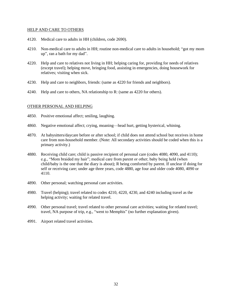#### HELP AND CARE TO OTHERS

- 4120. Medical care to adults in HH (children, code 2690).
- 4210. Non-medical care to adults in HH; routine non-medical care to adults in household; "got my mom up", ran a bath for my dad".
- 4220. Help and care to relatives not living in HH; helping caring for, providing for needs of relatives (except travel); helping move, bringing food, assisting in emergencies, doing housework for relatives; visiting when sick.
- 4230. Help and care to neighbors, friends: (same as 4220 for friends and neighbors).
- 4240. Help and care to others, NA relationship to R: (same as 4220 for others).

# <span id="page-33-0"></span>OTHER PERSONAL AND HELPING

- 4850. Positive emotional affect; smiling, laughing.
- 4860. Negative emotional affect; crying, moaning—head hurt, getting hysterical, whining.
- 4870. At babysitters/daycare before or after school; if child does not attend school but receives in home care from non-household member. (Note: All secondary activities should be coded when this is a primary activity.)
- 4880. Receiving child care; child is passive recipient of personal care (codes 4080, 4090, and 4110); e.g., "Mom braided my hair"; medical care from parent or other; baby being held (when child/baby is the one that the diary is about); R being comforted by parent. If unclear if doing for self or receiving care; under age three years, code 4880, age four and older code 4080, 4090 or 4110.
- 4890. Other personal; watching personal care activities.
- 4980. Travel (helping); travel related to codes 4210, 4220, 4230, and 4240 including travel as the helping activity; waiting for related travel.
- 4990. Other personal travel; travel related to other personal care activities; waiting for related travel; travel, NA purpose of trip, e.g., "went to Memphis" (no further explanation given).
- 4991. Airport related travel activities.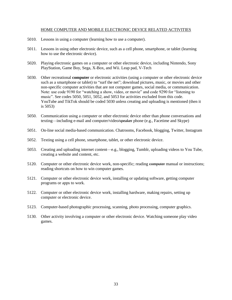## HOME COMPUTER AND MOBILE ELECTRONIC DEVICE RELATED ACTIVITIES

- <span id="page-34-0"></span>5010. Lessons in using a computer (learning how to use a computer).
- 5011. Lessons in using other electronic device, such as a cell phone, smartphone, or tablet (learning how to use the electronic device).
- 5020. Playing electronic games on a computer or other electronic device, including Nintendo, Sony PlayStation, Game Boy, Sega, X-Box, and Wii. Leap pad, V-Tech
- 5030. Other recreational **computer** or electronic activities (using a computer or other electronic device such as a smartphone or tablet) to "surf the net"; download pictures, music, or movies and other non-specific computer activities that are not computer games, social media, or communication. Note: use code 9190 for "watching a show, video, or movie" and code 9290 for "listening to music". See codes 5050, 5051, 5052, and 5053 for activities excluded from this code. YouTube and TikTok should be coded 5030 unless creating and uploading is mentioned (then it is 5053)
- 5050. Communication using a computer or other electronic device other than phone conversations and texting—including e-mail and computer/video<del>/speaker</del> phone (e.g., Facetime and Skype)
- 5051. On-line social media-based communication. Chatrooms, Facebook, blogging, Twitter, Instagram
- 5052. Texting using a cell phone, smartphone, tablet, or other electronic device.
- 5053. Creating and uploading internet content—e.g., blogging, Tumblr, uploading videos to You Tube, creating a website and content, etc.
- 5120. Computer or other electronic device work, non-specific; reading computer manual or instructions; reading shortcuts on how to win computer games.
- 5121. Computer or other electronic device work, installing or updating software, getting computer programs or apps to work.
- 5122. Computer or other electronic device work, installing hardware, making repairs, setting up computer or electronic device.
- 5123. Computer-based photographic processing, scanning, photo processing, computer graphics.
- 5130. Other activity involving a computer or other electronic device. Watching someone play video games.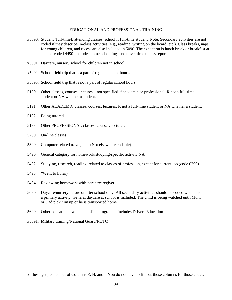#### EDUCATIONAL AND PROFESSIONAL TRAINING

- <span id="page-35-0"></span>x5090. Student (full-time); attending classes, school if full-time student. Note: Secondary activities are not coded if they describe in-class activities (e.g., reading, writing on the board, etc.). Class breaks, naps for young children, and recess are also included in 5090. The exception is lunch break or breakfast at school, coded 4490. Includes home schooling—no travel time unless reported.
- x5091. Daycare, nursery school for children not in school.
- x5092. School field trip that is a part of regular school hours.
- x5093. School field trip that is not a part of regular school hours.
- 5190. Other classes, courses, lectures—not specified if academic or professional; R not a full-time student or NA whether a student.
- 5191. Other ACADEMIC classes, courses, lectures; R not a full-time student or NA whether a student.
- 5192. Being tutored.
- 5193. Other PROFESSIONAL classes, courses, lectures.
- 5200. On-line classes.
- 5390. Computer related travel, nec. (Not elsewhere codable).
- 5490. General category for homework/studying-specific activity NA.
- 5492. Studying, research, reading, related to classes of profession, except for current job (code 0790).
- 5493. "Went to library"
- 5494. Reviewing homework with parent/caregiver.
- 5680. Daycare/nursery before or after school only. All secondary activities should be coded when this is a primary activity. General daycare at school is included. The child is being watched until Mom or Dad pick him up or he is transported home.
- 5690. Other education; "watched a slide program". Includes Drivers Education
- x5691. Military training/National Guard/ROTC

x=these get padded out of Columns E, H, and I. You do not have to fill out those columns for those codes.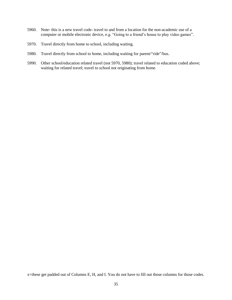- 5960. Note- this is a new travel code- travel to and from a location for the non-academic use of a computer or mobile electronic device, e.g. "Going to a friend's house to play video games".
- 5970. Travel directly from home to school, including waiting.
- 5980. Travel directly from school to home, including waiting for parent/"ride"/bus.
- 5990. Other school/education related travel (not 5970, 5980); travel related to education coded above; waiting for related travel; travel to school not originating from home.

x=these get padded out of Columns E, H, and I. You do not have to fill out those columns for those codes.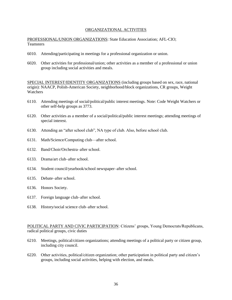#### ORGANIZATIONAL ACTIVITIES

<span id="page-37-0"></span>PROFESSIONAL/UNION ORGANIZATIONS: State Education Association; AFL-CIO; **Teamsters** 

- 6010. Attending/participating in meetings for a professional organization or union.
- 6020. Other activities for professional/union; other activities as a member of a professional or union group including social activities and meals.

SPECIAL INTEREST/IDENTITY ORGANIZATIONS (including groups based on sex, race, national origin): NAACP, Polish-American Society, neighborhood/block organizations, CR groups, Weight Watchers

- 6110. Attending meetings of social/political/public interest meetings. Note: Code Weight Watchers or other self-help groups as 3773.
- 6120. Other activities as a member of a social/political/public interest meetings; attending meetings of special interest.
- 6130. Attending an "after school club", NA type of club. Also, before school club.
- 6131. Math/Science/Computing club—after school.
- 6132. Band/Choir/Orchestra–after school.
- 6133. Drama/art club–after school.
- 6134. Student council/yearbook/school newspaper–after school.
- 6135. Debate–after school.
- 6136. Honors Society.
- 6137. Foreign language club–after school.
- 6138. History/social science club–after school.

POLITICAL PARTY AND CIVIC PARTICIPATION: Citizens' groups, Young Democrats/Republicans, radical political groups, civic duties

- 6210. Meetings, political/citizen organizations; attending meetings of a political party or citizen group, including city council.
- 6220. Other activities, political/citizen organization; other participation in political party and citizen's groups, including social activities, helping with election, and meals.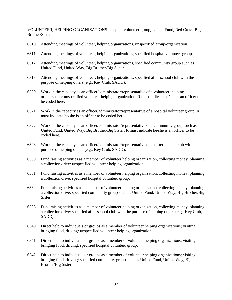VOLUNTEER, HELPING ORGANIZATIONS: hospital volunteer group, United Fund, Red Cross, Big Brother/Sister

- 6310. Attending meetings of volunteer, helping organizations, unspecified group/organization.
- 6311. Attending meetings of volunteer, helping organizations, specified hospital volunteer group.
- 6312. Attending meetings of volunteer, helping organizations, specified community group such as United Fund, United Way, Big Brother/Big Sister.
- 6313. Attending meetings of volunteer, helping organizations, specified after-school club with the purpose of helping others (e.g., Key Club, SADD).
- 6320. Work in the capacity as an officer/administrator/representative of a volunteer, helping organization: unspecified volunteer helping organization. R must indicate he/she is an officer to be coded here.
- 6321. Work in the capacity as an officer/administrator/representative of a hospital volunteer group. R must indicate he/she is an officer to be coded here.
- 6322. Work in the capacity as an officer/administrator/representative of a community group such as United Fund, United Way, Big Brother/Big Sister. R must indicate he/she is an officer to be coded here.
- 6323. Work in the capacity as an officer/administrator/representative of an after-school club with the purpose of helping others (e.g., Key Club, SADD).
- 6330. Fund raising activities as a member of volunteer helping organization, collecting money, planning a collection drive: unspecified volunteer helping organization.
- 6331. Fund raising activities as a member of volunteer helping organization, collecting money, planning a collection drive: specified hospital volunteer group.
- 6332. Fund raising activities as a member of volunteer helping organization, collecting money, planning a collection drive: specified community group such as United Fund, United Way, Big Brother/Big Sister.
- 6333. Fund raising activities as a member of volunteer helping organization, collecting money, planning a collection drive: specified after-school club with the purpose of helping others (e.g., Key Club, SADD).
- 6340. Direct help to individuals or groups as a member of volunteer helping organizations; visiting, bringing food, driving: unspecified volunteer helping organization.
- 6341. Direct help to individuals or groups as a member of volunteer helping organizations; visiting, bringing food, driving: specified hospital volunteer group.
- 6342. Direct help to individuals or groups as a member of volunteer helping organizations; visiting, bringing food, driving: specified community group such as United Fund, United Way, Big Brother/Big Sister.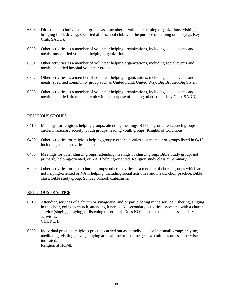- 6343. Direct help to individuals or groups as a member of volunteer helping organizations; visiting, bringing food, driving: specified after-school club with the purpose of helping others (e.g., Key Club, SADD).
- 6350. Other activities as a member of volunteer helping organizations, including social events and meals: unspecified volunteer helping organization.
- 6351. Other activities as a member of volunteer helping organizations, including social events and meals: specified hospital volunteer group.
- 6352. Other activities as a member of volunteer helping organizations, including social events and meals: specified community group such as United Fund, United Way, Big Brother/Big Sister.
- 6353. Other activities as a member of volunteer helping organizations, including social events and meals: specified after-school club with the purpose of helping others (e.g., Key Club, SADD).

### RELIGIOUS GROUPS

- 6410. Meetings for religious helping groups: attending meetings of helping-oriented church groups circle, missionary society, youth groups, leading youth groups, Knights of Columbus.
- 6420. Other activities for religious helping groups: other activities as a member of groups listed in 6410, including social activities and meals.
- 6430. Meetings for other church groups: attending meetings of church group, Bible Study group, not primarily helping-oriented, or NA if helping-oriented. Religion study class at Seminary
- 6440. Other activities for other church groups; other activities as a member of church groups which are not helping-oriented or NA if helping, including social activities and meals; choir practice, Bible class, Bible study group, Sunday School, Catechism.

# <span id="page-39-0"></span>RELIGIOUS PRACTICE

- 6510. Attending services of a church or synagogue, and/or participating in the service; ushering, singing in the choir, going to church, attending funerals. All secondary activities associated with a church service (singing, praying, or listening to sermon). Does NOT need to be coded as secondary activities. CHURCH.
- 6520. Individual practice; religious practice carried out as an individual or in a small group; praying, meditating, visiting graves; praying at mealtime or bedtime gets two minutes unless otherwise indicated. Religion at HOME.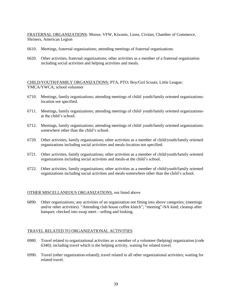FRATERNAL ORGANIZATIONS: Moose, VFW, Kiwanis, Lions, Civitan, Chamber of Commerce, Shriners, American Legion

- 6610. Meetings, fraternal organizations; attending meetings of fraternal organizations.
- 6620. Other activities, fraternal organizations; other activities as a member of a fraternal organization including social activities and helping activities and meals.

CHILD/YOUTH/FAMILY ORGANIZATIONS: PTA, PTO; Boy/Girl Scouts; Little League; YMCA/YWCA; school volunteer

- 6710. Meetings, family organizations; attending meetings of child/ youth/family oriented organizationslocation not specified.
- 6711. Meetings, family organizations; attending meetings of child/ youth/family oriented organizationsat the child's school.
- 6712. Meetings, family organizations; attending meetings of child/ youth/family oriented organizationssomewhere other than the child's school.
- 6720. Other activities, family organizations; other activities as a member of child/youth/family oriented organizations including social activities and meals-location not specified.
- 6721. Other activities, family organizations; other activities as a member of child/youth/family oriented organizations including social activities and meals-at the child's school.
- 6722. Other activities, family organizations; other activities as a member of child/youth/family oriented organizations including social activities and meals-somewhere other than the child's school.

#### OTHER MISCELLANEOUS ORGANIZATIONS, not listed above

6890. Other organizations; any activities of an organization not fitting into above categories; (meetings and/or other activities). "Attending club house coffee klatch"; "meeting"-NA kind; cleanup after banquet; checked into swap meet—selling and looking.

#### TRAVEL RELATED TO ORGANIZATIONAL ACTIVITIES

- 6980. Travel related to organizational activities as a member of a volunteer (helping) organization (code 6340); including travel which is the helping activity, waiting for related travel.
- 6990. Travel (other organization-related); travel related to all other organizational activities; waiting for related travel.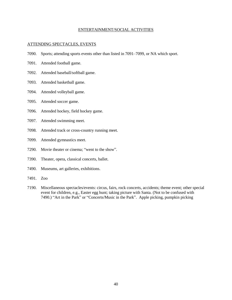#### ENTERTAINMENT/SOCIAL ACTIVITIES

#### <span id="page-41-0"></span>ATTENDING SPECTACLES, EVENTS

- 7090. Sports; attending sports events other than listed in 7091–7099, or NA which sport.
- 7091. Attended football game.
- 7092. Attended baseball/softball game.
- 7093. Attended basketball game.
- 7094. Attended volleyball game.
- 7095. Attended soccer game.
- 7096. Attended hockey, field hockey game.
- 7097. Attended swimming meet.
- 7098. Attended track or cross-country running meet.
- 7099. Attended gymnastics meet.
- 7290. Movie theater or cinema; "went to the show".
- 7390. Theater, opera, classical concerts, ballet.
- 7490. Museums, art galleries, exhibitions.
- 7491. Zoo
- 7190. Miscellaneous spectacles/events: circus, fairs, rock concerts, accidents; theme event; other special event for children, e.g., Easter egg hunt; taking picture with Santa. (Not to be confused with 7490.) "Art in the Park" or "Concerts/Music in the Park". Apple picking, pumpkin picking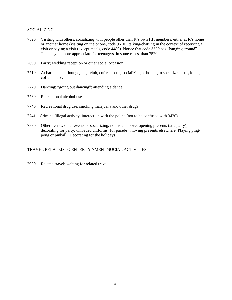### **SOCIALIZING**

- 7520. Visiting with others; socializing with people other than R's own HH members, either at R's home or another home (visiting on the phone, code 9610); talking/chatting in the context of receiving a visit or paying a visit (except meals, code 4480). Notice that code 8890 has "hanging around". This may be more appropriate for teenagers, in some cases, than 7520.
- 7690. Party; wedding reception or other social occasion.
- 7710. At bar; cocktail lounge, nightclub, coffee house; socializing or hoping to socialize at bar, lounge, coffee house.
- 7720. Dancing; "going out dancing"; attending a dance.
- 7730. Recreational alcohol use
- 7740, Recreational drug use, smoking marijuana and other drugs
- 7741. Criminal/illegal activity, interaction with the police (not to be confused with 3420).
- 7890. Other events; other events or socializing, not listed above; opening presents (at a party); decorating for party; unloaded uniforms (for parade), moving presents elsewhere. Playing pingpong or pinball. Decorating for the holidays.

#### TRAVEL RELATED TO ENTERTAINMENT/SOCIAL ACTIVITIES

7990. Related travel; waiting for related travel.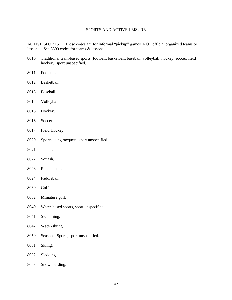## SPORTS AND ACTIVE LEISURE

<span id="page-43-0"></span>ACTIVE SPORTS These codes are for informal "pickup" games. NOT official organized teams or lessons. See 8800 codes for teams & lessons.

- 8010. Traditional team-based sports (football, basketball, baseball, volleyball, hockey, soccer, field hockey), sport unspecified.
- 8011. Football.
- 8012. Basketball.
- 8013. Baseball.
- 8014. Volleyball.
- 8015. Hockey.
- 8016. Soccer.
- 8017. Field Hockey.
- 8020. Sports using racquets, sport unspecified.
- 8021. Tennis.
- 8022. Squash.
- 8023. Racquetball.
- 8024. Paddleball.
- 8030. Golf.
- 8032. Miniature golf.
- 8040. Water-based sports, sport unspecified.
- 8041. Swimming.
- 8042. Water-skiing.
- 8050. Seasonal Sports, sport unspecified.
- 8051. Skiing.
- 8052. Sledding.
- 8053. Snowboarding.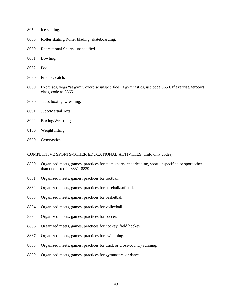- 8054. Ice skating.
- 8055. Roller skating/Roller blading, skateboarding.
- 8060. Recreational Sports, unspecified.
- 8061. Bowling.
- 8062. Pool.
- 8070. Frisbee, catch.
- 8080. Exercises, yoga "at gym", exercise unspecified. If gymnastics, use code 8650. If exercise/aerobics class, code as 8865.
- 8090. Judo, boxing, wrestling.
- 8091. Judo/Martial Arts.
- 8092. Boxing/Wrestling.
- 8100. Weight lifting.
- 8650. Gymnastics.

#### COMPETITIVE SPORTS-OTHER EDUCATIONAL ACTIVITIES (child only codes)

- 8830. Organized meets, games, practices for team sports, cheerleading, sport unspecified or sport other than one listed in 8831–8839.
- 8831. Organized meets, games, practices for football.
- 8832. Organized meets, games, practices for baseball/softball.
- 8833. Organized meets, games, practices for basketball.
- 8834. Organized meets, games, practices for volleyball.
- 8835. Organized meets, games, practices for soccer.
- 8836. Organized meets, games, practices for hockey, field hockey.
- 8837. Organized meets, games, practices for swimming.
- 8838. Organized meets, games, practices for track or cross-country running.
- 8839. Organized meets, games, practices for gymnastics or dance.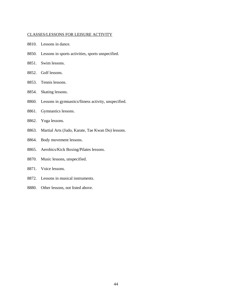## CLASSES/LESSONS FOR LEISURE ACTIVITY

- 8810. Lessons in dance.
- 8850. Lessons in sports activities, sports unspecified.
- 8851. Swim lessons.
- 8852. Golf lessons.
- 8853. Tennis lessons.
- 8854. Skating lessons.
- 8860. Lessons in gymnastics/fitness activity, unspecified.
- 8861. Gymnastics lessons.
- 8862. Yoga lessons.
- 8863. Martial Arts (Judo, Karate, Tae Kwan Do) lessons.
- 8864. Body movement lessons.
- 8865. Aerobics/Kick Boxing/Pilates lessons.
- 8870. Music lessons, unspecified.
- 8871. Voice lessons.
- 8872. Lessons in musical instruments.
- 8880. Other lessons, not listed above.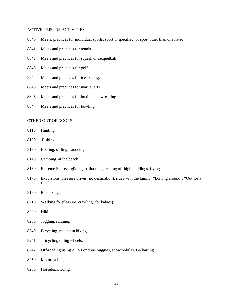#### ACTIVE LEISURE ACTIVITIES

- 8840. Meets, practices for individual sports, sport unspecified, or sport other than one listed
- 8841. Meets and practices for tennis.
- 8842. Meets and practices for squash or racquetball.
- 8843. Meets and practices for golf.
- 8844. Meets and practices for ice skating.
- 8845. Meets and practices for martial arts.
- 8846. Meets and practices for boxing and wrestling.
- 8847. Meets and practices for bowling.

#### OTHER OUT OF DOORS

- 8110. Hunting.
- 8120. Fishing.
- 8130. Boating, sailing, canoeing.
- 8140. Camping, at the beach.
- 8160. Extreme Sports—gliding, ballooning, leaping off high buildings, flying.
- 8170. Excursions, pleasure drives (no destination), rides with the family; "Driving around", "Out for a ride".
- 8180. Picnicking.
- 8210. Walking for pleasure, crawling (for babies).
- 8220. Hiking.
- 8230. Jogging, running.
- 8240. Bicycling, mountain biking.
- 8241. Tricycling or big wheels.
- 8242. Off-roading using ATVs or dune buggies, snowmobiles. Go karting
- 8250. Motorcycling.
- 8260. Horseback riding.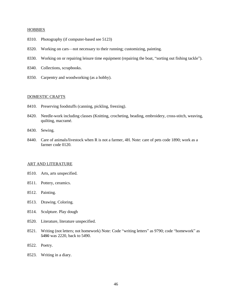#### **HOBBIES**

- 8310. Photography (if computer-based see 5123)
- 8320. Working on cars—not necessary to their running; customizing, painting.
- 8330. Working on or repairing leisure time equipment (repairing the boat, "sorting out fishing tackle").
- 8340. Collections, scrapbooks.
- 8350. Carpentry and woodworking (as a hobby).

#### DOMESTIC CRAFTS

- 8410. Preserving foodstuffs (canning, pickling, freezing).
- 8420. Needle-work including classes (Knitting, crocheting, beading, embroidery, cross-stitch, weaving, quilting, macramé.
- 8430. Sewing.
- 8440. Care of animals/livestock when R is not a farmer, 4H. Note: care of pets code 1890; work as a farmer code 0120.

#### ART AND LITERATURE

- 8510. Arts, arts unspecified.
- 8511. Pottery, ceramics.
- 8512. Painting.
- 8513. Drawing. Coloring.
- 8514. Sculpture. Play dough
- 8520. Literature, literature unspecified.
- 8521. Writing (not letters; not homework) Note: Code "writing letters" as 9790; code "homework" as 5490 was 2220, back to 5490.
- 8522. Poetry.
- 8523. Writing in a diary.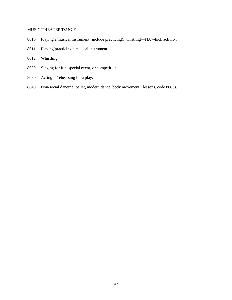# MUSIC/THEATER/DANCE

- 8610. Playing a musical instrument (include practicing), whistling—NA which activity.
- 8611. Playing/practicing a musical instrument.

## 8612. Whistling.

- 8620. Singing for fun, special event, or competition.
- 8630. Acting in/rehearsing for a play.
- 8640. Non-social dancing; ballet, modern dance, body movement; (lessons, code 8860).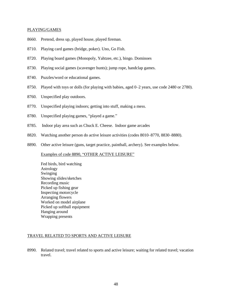### PLAYING/GAMES

- 8660. Pretend, dress up, played house, played fireman.
- 8710. Playing card games (bridge, poker). Uno, Go Fish.
- 8720. Playing board games (Monopoly, Yahtzee, etc.), bingo. Dominoes
- 8730. Playing social games (scavenger hunts); jump rope, handclap games.
- 8740. Puzzles/word or educational games.
- 8750. Played with toys or dolls (for playing with babies, aged 0–2 years, use code 2480 or 2780).
- 8760. Unspecified play outdoors.
- 8770. Unspecified playing indoors; getting into stuff, making a mess.
- 8780. Unspecified playing games, "played a game."
- 8785. Indoor play area such as Chuck E. Cheese. Indoor game arcades
- 8820. Watching another person do active leisure activities (codes 8010–8770, 8830–8880).
- 8890. Other active leisure (guns, target practice, paintball, archery). See examples below.

Examples of code 8890, "OTHER ACTIVE LEISURE"

Fed birds, bird watching Astrology Swinging Showing slides/sketches Recording music Picked up fishing gear Inspecting motorcycle Arranging flowers Worked on model airplane Picked up softball equipment Hanging around Wrapping presents

# TRAVEL RELATED TO SPORTS AND ACTIVE LEISURE

8990. Related travel; travel related to sports and active leisure; waiting for related travel; vacation travel.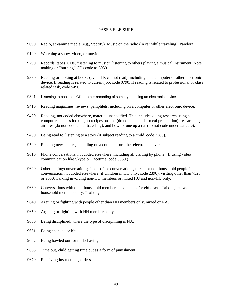#### PASSIVE LEISURE

- <span id="page-50-0"></span>9090. Radio, streaming media (e.g., Spotify). Music on the radio (in car while traveling). Pandora
- 9190. Watching a show, video, or movie.
- 9290. Records, tapes, CDs, "listening to music", listening to others playing a musical instrument. Note: making or "burning" CDs code as 5030.
- 9390. Reading or looking at books (even if R cannot read), including on a computer or other electronic device. If reading is related to current job, code 0790. If reading is related to professional or class related task, code 5490.
- 9391. Listening to books on CD or other recording of some type, using an electronic device
- 9410. Reading magazines, reviews, pamphlets, including on a computer or other electronic device.
- 9420. Reading, not coded elsewhere, material unspecified. This includes doing research using a computer, such as looking up recipes on-line (do not code under meal preparation), researching airfares (do not code under traveling), and how to tune up a car (do not code under car care).
- 9430. Being read to, listening to a story (if subject reading to a child, code 2380).
- 9590. Reading newspapers, including on a computer or other electronic device.
- 9610. Phone conversations, not coded elsewhere, including all visiting by phone. (If using video communication like Skype or Facetime, code 5050.)
- 9620. Other talking/conversations; face-to-face conversations, mixed or non-household people in conversation; not coded elsewhere (if children in HH only, code 2390); visiting other than 7520 or 9630. Talking involving non-HU members or mixed HU and non-HU only.
- 9630. Conversations with other household members—adults and/or children. "Talking" between household members only. "Talking"
- 9640. Arguing or fighting with people other than HH members only, mixed or NA.
- 9650. Arguing or fighting with HH members only.
- 9660. Being disciplined, where the type of disciplining is NA.
- 9661. Being spanked or hit.
- 9662. Being bawled out for misbehaving.
- 9663. Time out, child getting time out as a form of punishment.
- 9670. Receiving instructions, orders.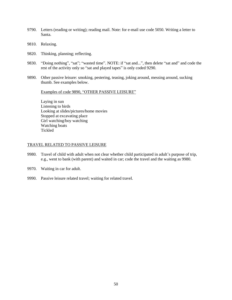- 9790. Letters (reading or writing); reading mail. Note: for e-mail use code 5050. Writing a letter to Santa.
- 9810. Relaxing.
- 9820. Thinking, planning; reflecting.
- 9830. "Doing nothing", "sat"; "wasted time". NOTE: if "sat and...", then delete "sat and" and code the rest of the activity only so "sat and played tapes" is only coded 9290.
- 9890. Other passive leisure: smoking, pestering, teasing, joking around, messing around, sucking thumb. See examples below.

Examples of code 9890, "OTHER PASSIVE LEISURE"

Laying in sun Listening to birds Looking at slides/pictures/home movies Stopped at excavating place Girl watching/boy watching Watching boats Tickled

# TRAVEL RELATED TO PASSIVE LEISURE

- 9980. Travel of child with adult when not clear whether child participated in adult's purpose of trip, e.g., went to bank (with parent) and waited in car; code the travel and the waiting as 9980.
- 9970. Waiting in car for adult.
- 9990. Passive leisure related travel; waiting for related travel.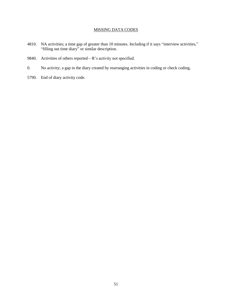# MISSING DATA CODES

- <span id="page-52-0"></span>4810. NA activities; a time gap of greater than 10 minutes. Including if it says "interview activities," "filling out time diary" or similar description.
- 9840. Activities of others reported—R's activity not specified.
- 0. No activity; a gap in the diary created by rearranging activities in coding or check coding.
- 5790. End of diary activity code.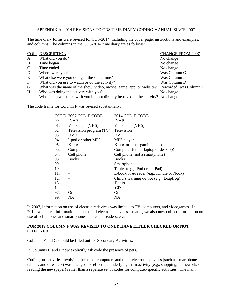### APPENDIX A: 2014 REVISIONS TO CDS TIME DIARY CODING MANUAL SINCE 2007

<span id="page-53-0"></span>The time diary forms were revised for CDS-2014, including the cover page, instructions and examples, and columns. The columns in the CDS-2014 time diary are as follows:

|               | COL. DESCRIPTION                                                                   | <b>CHANGE FROM 2007</b> |
|---------------|------------------------------------------------------------------------------------|-------------------------|
| A             | What did you do?                                                                   | No change               |
| B             | Time began                                                                         | No change               |
| $\mathcal{C}$ | Time ended                                                                         | No change               |
| D             | Where were you?                                                                    | Was Column G            |
| E             | What else were you doing at the same time?                                         | Was Column J            |
| $\mathbf F$   | What did you use to watch or do the activity?                                      | Was Column D            |
| G             | What was the name of the show, video, movie, game, app, or website?                | Reworded; was Column E  |
| H             | Who was doing the activity with you?                                               | No change               |
| L             | Who (else) was there with you but not directly involved in the activity? No change |                         |

The code frame for Column F was revised substantially.

|     | CODE 2007 COL. F CODE   | 2014 COL. F CODE                          |
|-----|-------------------------|-------------------------------------------|
| 00. | <b>INAP</b>             | <b>INAP</b>                               |
| 01. | Video tape (VHS)        | Video tape (VHS)                          |
| 02  | Television program (TV) | Television                                |
| 03. | <b>DVD</b>              | DVD                                       |
| 04. | I-pod or other MP3      | MP3 player                                |
| 05  | $X$ -box                | X-box or other gaming console             |
| 06. | Computer                | Computer (either laptop or desktop)       |
| 07. | Cell phone              | Cell phone (not a smartphone)             |
| 08. | <b>Books</b>            | <b>Books</b>                              |
| 09. |                         | Smartphone                                |
| 10. |                         | Tablet (e.g., iPod or an iPad)            |
| 11. |                         | E-book or e-reader (e.g., Kindle or Nook) |
| 12. |                         | Child's learning device (e.g., Leapfrog)  |
| 13. |                         | Radio                                     |
| 14. |                         | CDs                                       |
| 97. | Other                   | Other                                     |
| 99. | <b>NA</b>               | NΑ                                        |

In 2007, information on use of electronic devices was limited to TV, computers, and videogames. In 2014, we collect information on use of all electronic devices—that is, we also now collect information on use of cell phones and smartphones, tablets, e-readers, etc.

# **FOR 2019 COLUMN F WAS REVISED TO ONLY HAVE EITHER CHECKED OR NOT CHECKED**

Columns F and G should be filled out for Secondary Activities.

In Columns H and I, now explicitly ask code the presence of pets.

Coding for activities involving the use of computers and other electronic devices (such as smartphones, tablets, and e-readers) was changed to reflect the underlying main activity (e.g., shopping, homework, or reading the newspaper) rather than a separate set of codes for computer-specific activities. The main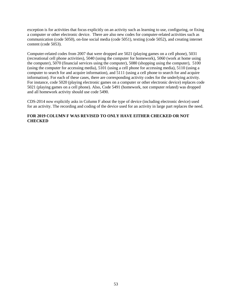exception is for activities that focus explicitly on an activity such as learning to use, configuring, or fixing a computer or other electronic device. There are also new codes for computer-related activities such as communication (code 5050), on-line social media (code 5051), texting (code 5052), and creating internet content (code 5053).

Computer-related codes from 2007 that were dropped are 5021 (playing games on a cell phone), 5031 (recreational cell phone activities), 5040 (using the computer for homework), 5060 (work at home using the computer), 5070 (financial services using the computer), 5080 (shopping using the computer), 5100 (using the computer for accessing media), 5101 (using a cell phone for accessing media), 5110 (using a computer to search for and acquire information), and 5111 (using a cell phone to search for and acquire information). For each of these cases, there are corresponding activity codes for the underlying activity. For instance, code 5020 (playing electronic games on a computer or other electronic device) replaces code 5021 (playing games on a cell phone). Also, Code 5491 (homework, not computer related) was dropped and all homework activity should use code 5490.

CDS-2014 now explicitly asks in Column F about the type of device (including electronic device) used for an activity. The recording and coding of the device used for an activity in large part replaces the need.

# **FOR 2019 COLUMN F WAS REVISED TO ONLY HAVE EITHER CHECKED OR NOT CHECKED**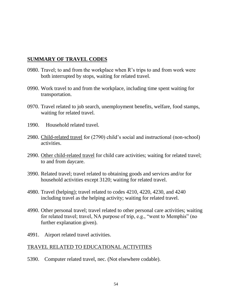# **SUMMARY OF TRAVEL CODES**

- 0980. Travel; to and from the workplace when R's trips to and from work were both interrupted by stops, waiting for related travel.
- 0990. Work travel to and from the workplace, including time spent waiting for transportation.
- 0970. Travel related to job search, unemployment benefits, welfare, food stamps, waiting for related travel.
- 1990. Household related travel.
- 2980. Child-related travel for (2790) child's social and instructional (non-school) activities.
- 2990. Other child-related travel for child care activities; waiting for related travel; to and from daycare.
- 3990. Related travel; travel related to obtaining goods and services and/or for household activities except 3120; waiting for related travel.
- 4980. Travel (helping); travel related to codes 4210, 4220, 4230, and 4240 including travel as the helping activity; waiting for related travel.
- 4990. Other personal travel; travel related to other personal care activities; waiting for related travel; travel, NA purpose of trip, e.g., "went to Memphis" (no further explanation given).
- 4991. Airport related travel activities.

# TRAVEL RELATED TO EDUCATIONAL ACTIVITIES

5390. Computer related travel, nec. (Not elsewhere codable).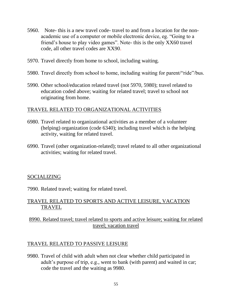- 5960. Note- this is a new travel code- travel to and from a location for the nonacademic use of a computer or mobile electronic device, eg. "Going to a friend's house to play video games". Note- this is the only XX60 travel code, all other travel codes are XX90.
- 5970. Travel directly from home to school, including waiting.
- 5980. Travel directly from school to home, including waiting for parent/"ride"/bus.
- 5990. Other school/education related travel (not 5970, 5980); travel related to education coded above; waiting for related travel; travel to school not originating from home.

# TRAVEL RELATED TO ORGANIZATIONAL ACTIVITIES

- 6980. Travel related to organizational activities as a member of a volunteer (helping) organization (code 6340); including travel which is the helping activity, waiting for related travel.
- 6990. Travel (other organization-related); travel related to all other organizational activities; waiting for related travel.

# SOCIALIZING

7990. Related travel; waiting for related travel.

# TRAVEL RELATED TO SPORTS AND ACTIVE LEISURE, VACATION **TRAVEL**

# 8990. Related travel; travel related to sports and active leisure; waiting for related travel; vacation travel

# TRAVEL RELATED TO PASSIVE LEISURE

9980. Travel of child with adult when not clear whether child participated in adult's purpose of trip, e.g., went to bank (with parent) and waited in car; code the travel and the waiting as 9980.